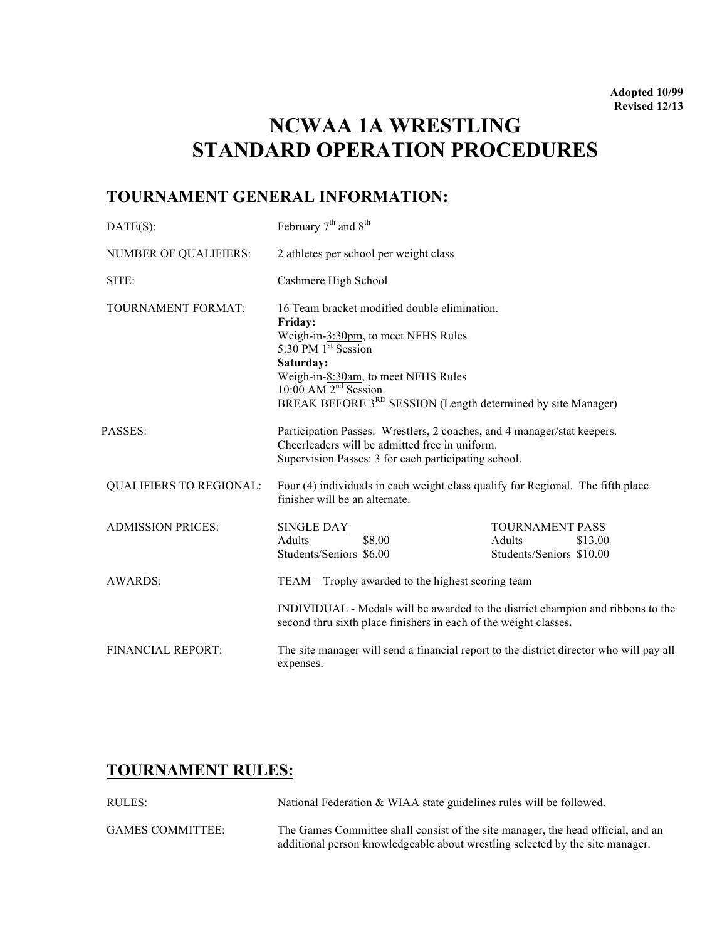## **NCWAA 1A WRESTLING STANDARD OPERATION PROCEDURES**

## **TOURNAMENT GENERAL INFORMATION:**

| $DATE(S)$ :                    | February 7 <sup>th</sup> and 8 <sup>th</sup>                                                                                                                                                                                                                                                      |                                                                  |
|--------------------------------|---------------------------------------------------------------------------------------------------------------------------------------------------------------------------------------------------------------------------------------------------------------------------------------------------|------------------------------------------------------------------|
| <b>NUMBER OF QUALIFIERS:</b>   | 2 athletes per school per weight class                                                                                                                                                                                                                                                            |                                                                  |
| SITE:                          | Cashmere High School                                                                                                                                                                                                                                                                              |                                                                  |
| <b>TOURNAMENT FORMAT:</b>      | 16 Team bracket modified double elimination.<br>Friday:<br>Weigh-in-3:30pm, to meet NFHS Rules<br>5:30 PM $1^{\frac{st}{st}}$ Session<br>Saturday:<br>Weigh-in-8:30am, to meet NFHS Rules<br>$10:00$ AM $2nd$ Session<br>BREAK BEFORE 3 <sup>RD</sup> SESSION (Length determined by site Manager) |                                                                  |
| <b>PASSES:</b>                 | Participation Passes: Wrestlers, 2 coaches, and 4 manager/stat keepers.<br>Cheerleaders will be admitted free in uniform.<br>Supervision Passes: 3 for each participating school.                                                                                                                 |                                                                  |
| <b>QUALIFIERS TO REGIONAL:</b> | Four (4) individuals in each weight class qualify for Regional. The fifth place<br>finisher will be an alternate.                                                                                                                                                                                 |                                                                  |
| <b>ADMISSION PRICES:</b>       | <b>SINGLE DAY</b><br>Adults<br>\$8.00<br>Students/Seniors \$6.00                                                                                                                                                                                                                                  | TOURNAMENT PASS<br>Adults<br>\$13.00<br>Students/Seniors \$10.00 |
| <b>AWARDS:</b>                 | TEAM – Trophy awarded to the highest scoring team                                                                                                                                                                                                                                                 |                                                                  |
|                                | INDIVIDUAL - Medals will be awarded to the district champion and ribbons to the<br>second thru sixth place finishers in each of the weight classes.                                                                                                                                               |                                                                  |
| <b>FINANCIAL REPORT:</b>       | The site manager will send a financial report to the district director who will pay all<br>expenses.                                                                                                                                                                                              |                                                                  |

## **TOURNAMENT RULES:**

| RULES:                  | National Federation & WIAA state guidelines rules will be followed.                                                                                               |
|-------------------------|-------------------------------------------------------------------------------------------------------------------------------------------------------------------|
| <b>GAMES COMMITTEE:</b> | The Games Committee shall consist of the site manager, the head official, and an<br>additional person knowledgeable about wrestling selected by the site manager. |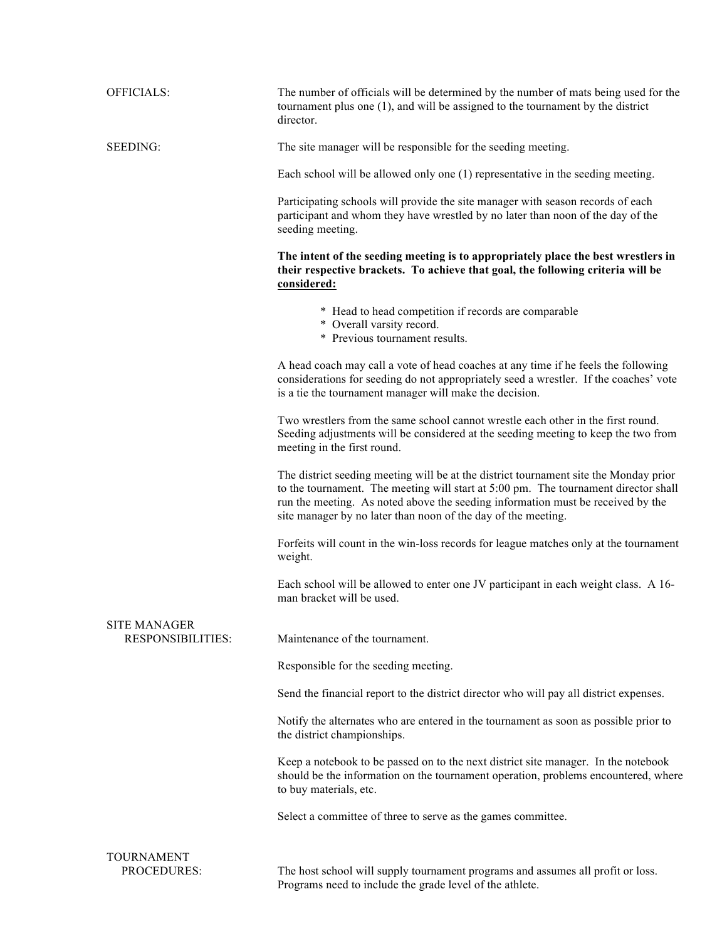| <b>OFFICIALS:</b>                               | The number of officials will be determined by the number of mats being used for the<br>tournament plus one (1), and will be assigned to the tournament by the district<br>director.                                                                                                                                              |  |
|-------------------------------------------------|----------------------------------------------------------------------------------------------------------------------------------------------------------------------------------------------------------------------------------------------------------------------------------------------------------------------------------|--|
| SEEDING:                                        | The site manager will be responsible for the seeding meeting.                                                                                                                                                                                                                                                                    |  |
|                                                 | Each school will be allowed only one (1) representative in the seeding meeting.                                                                                                                                                                                                                                                  |  |
|                                                 | Participating schools will provide the site manager with season records of each<br>participant and whom they have wrestled by no later than noon of the day of the<br>seeding meeting.                                                                                                                                           |  |
|                                                 | The intent of the seeding meeting is to appropriately place the best wrestlers in<br>their respective brackets. To achieve that goal, the following criteria will be<br>considered:                                                                                                                                              |  |
|                                                 | * Head to head competition if records are comparable<br>* Overall varsity record.<br>* Previous tournament results.                                                                                                                                                                                                              |  |
|                                                 | A head coach may call a vote of head coaches at any time if he feels the following<br>considerations for seeding do not appropriately seed a wrestler. If the coaches' vote<br>is a tie the tournament manager will make the decision.                                                                                           |  |
|                                                 | Two wrestlers from the same school cannot wrestle each other in the first round.<br>Seeding adjustments will be considered at the seeding meeting to keep the two from<br>meeting in the first round.                                                                                                                            |  |
|                                                 | The district seeding meeting will be at the district tournament site the Monday prior<br>to the tournament. The meeting will start at 5:00 pm. The tournament director shall<br>run the meeting. As noted above the seeding information must be received by the<br>site manager by no later than noon of the day of the meeting. |  |
|                                                 | Forfeits will count in the win-loss records for league matches only at the tournament<br>weight.                                                                                                                                                                                                                                 |  |
|                                                 | Each school will be allowed to enter one JV participant in each weight class. A 16-<br>man bracket will be used.                                                                                                                                                                                                                 |  |
| <b>SITE MANAGER</b><br><b>RESPONSIBILITIES:</b> | Maintenance of the tournament.                                                                                                                                                                                                                                                                                                   |  |
|                                                 | Responsible for the seeding meeting.                                                                                                                                                                                                                                                                                             |  |
|                                                 | Send the financial report to the district director who will pay all district expenses.                                                                                                                                                                                                                                           |  |
|                                                 | Notify the alternates who are entered in the tournament as soon as possible prior to<br>the district championships.                                                                                                                                                                                                              |  |
|                                                 | Keep a notebook to be passed on to the next district site manager. In the notebook<br>should be the information on the tournament operation, problems encountered, where<br>to buy materials, etc.                                                                                                                               |  |
|                                                 | Select a committee of three to serve as the games committee.                                                                                                                                                                                                                                                                     |  |
| <b>TOURNAMENT</b><br>PROCEDURES:                | The host school will supply tournament programs and assumes all profit or loss.<br>Programs need to include the grade level of the athlete.                                                                                                                                                                                      |  |